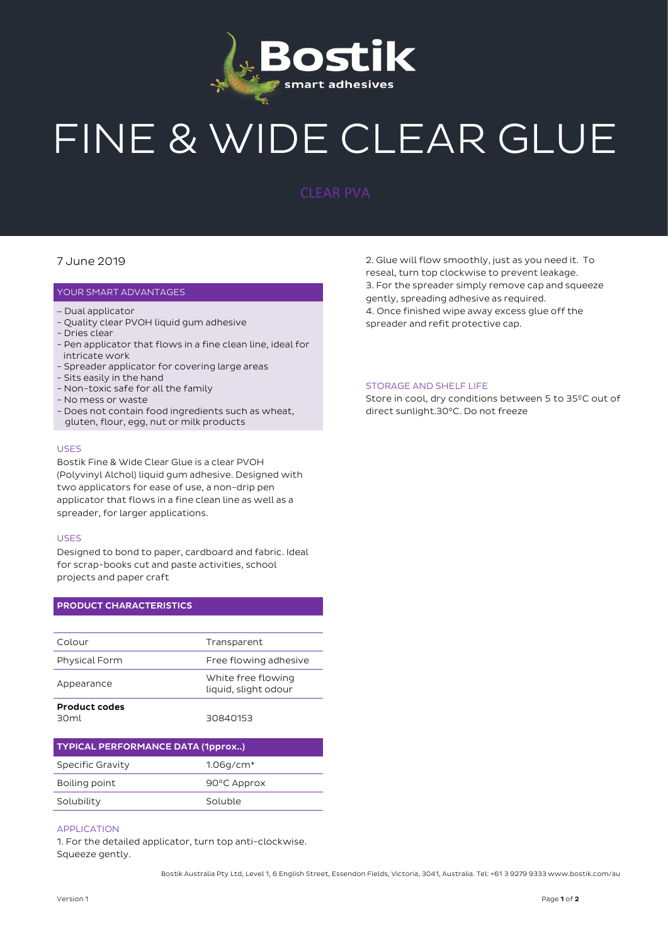

# FINE & WIDE CLEAR GLUE

### 7 June 2019

#### YOUR SMART ADVANTAGES

- Dual applicator
- Quality clear PVOH liquid gum adhesive
- Dries clear
- Pen applicator that flows in a fine clean line, ideal for intricate work
- Spreader applicator for covering large areas
- Sits easily in the hand
- Non-toxic safe for all the family
- No mess or waste
- Does not contain food ingredients such as wheat, gluten, flour, egg, nut or milk products

#### USES

Bostik Fine & Wide Clear Glue is a clear PVOH (Polyvinyl Alchol) liquid gum adhesive. Designed with two applicators for ease of use, a non-drip pen applicator that flows in a fine clean line as well as a spreader, for larger applications.

#### USES

Designed to bond to paper, cardboard and fabric. Ideal for scrap-books cut and paste activities, school projects and paper craft

#### PRODUCT CHARACTERISTICS

| Colour                                   | Transparent                                |
|------------------------------------------|--------------------------------------------|
| <b>Physical Form</b>                     | Free flowing adhesive                      |
| Appearance                               | White free flowing<br>liquid, slight odour |
| <b>Product codes</b><br>30 <sub>ml</sub> | 30840153                                   |

| <b>TYPICAL PERFORMANCE DATA (1pprox)</b> |             |
|------------------------------------------|-------------|
| <b>Specific Gravity</b>                  | $1.06q/cm*$ |
| Boiling point                            | 90°C Approx |
| Solubility                               | Soluble     |

#### APPLICATION

1. For the detailed applicator, turn top anti-clockwise. Squeeze gently.

2. Glue will flow smoothly, just as you need it. To reseal, turn top clockwise to prevent leakage. 3. For the spreader simply remove cap and squeeze gently, spreading adhesive as required. 4. Once finished wipe away excess glue off the spreader and refit protective cap.

#### STORAGE AND SHELF LIFE

Store in cool, dry conditions between 5 to 35ºC out of direct sunlight.30°C. Do not freeze

Bostik Australia Pty Ltd, Level 1, 6 English Street, Essendon Fields, Victoria, 3041, Australia. Tel: +61 3 9279 9333 www.bostik.com/au